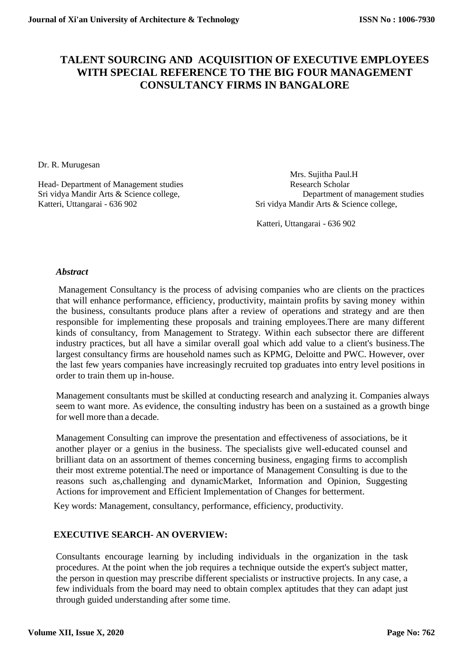## **TALENT SOURCING AND ACQUISITION OF EXECUTIVE EMPLOYEES WITH SPECIAL REFERENCE TO THE BIG FOUR MANAGEMENT CONSULTANCY FIRMS IN BANGALORE**

Dr. R. Murugesan

Head- Department of Management studies Katteri, Uttangarai - 636 902 Sri vidya Mandir Arts & Science college,

Mrs. Sujitha Paul.H Sri vidya Mandir Arts & Science college, Department of management studies

Katteri, Uttangarai - 636 902

#### *Abstract*

Management Consultancy is the process of advising companies who are clients on the practices that will enhance performance, efficiency, productivity, maintain profits by saving money within the business, consultants produce plans after a review of operations and strategy and are then responsible for implementing these proposals and training employees.There are many different kinds of consultancy, from Management to Strategy. Within each subsector there are different industry practices, but all have a similar overall goal which add value to a client's business.The largest consultancy firms are household names such as KPMG, Deloitte and PWC. However, over the last few years companies have increasingly recruited top graduates into entry level positions in order to train them up in-house.

Management consultants must be skilled at conducting research and analyzing it. Companies always seem to want more. As evidence, the consulting industry has been on a sustained as a growth binge for well more than a decade.

Management Consulting can improve the presentation and effectiveness of associations, be it another player or a genius in the business. The specialists give well-educated counsel and brilliant data on an assortment of themes concerning business, engaging firms to accomplish their most extreme potential.The need or importance of Management Consulting is due to the reasons such as,challenging and dynamicMarket, Information and Opinion, Suggesting Actions for improvement and Efficient Implementation of Changes for betterment.

Key words: Management, consultancy, performance, efficiency, productivity.

#### **EXECUTIVE SEARCH- AN OVERVIEW:**

Consultants encourage learning by including individuals in the organization in the task procedures. At the point when the job requires a technique outside the expert's subject matter, the person in question may prescribe different specialists or instructive projects. In any case, a few individuals from the board may need to obtain complex aptitudes that they can adapt just through guided understanding after some time.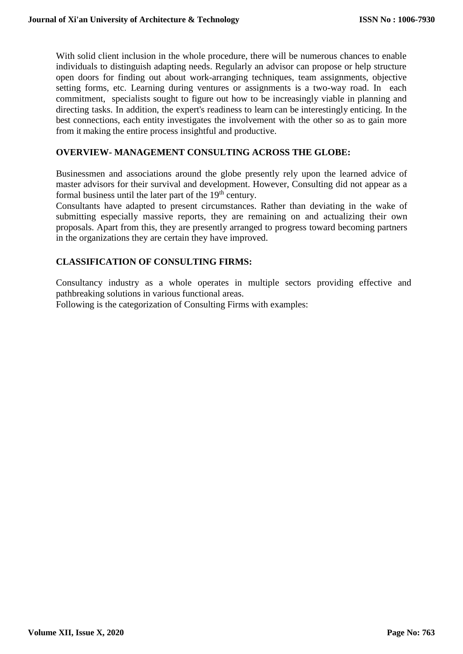With solid client inclusion in the whole procedure, there will be numerous chances to enable individuals to distinguish adapting needs. Regularly an advisor can propose or help structure open doors for finding out about work-arranging techniques, team assignments, objective setting forms, etc. Learning during ventures or assignments is a two-way road. In each commitment, specialists sought to figure out how to be increasingly viable in planning and directing tasks. In addition, the expert's readiness to learn can be interestingly enticing. In the best connections, each entity investigates the involvement with the other so as to gain more from it making the entire process insightful and productive.

#### **OVERVIEW- MANAGEMENT CONSULTING ACROSS THE GLOBE:**

Businessmen and associations around the globe presently rely upon the learned advice of master advisors for their survival and development. However, Consulting did not appear as a formal business until the later part of the 19<sup>th</sup> century.

Consultants have adapted to present circumstances. Rather than deviating in the wake of submitting especially massive reports, they are remaining on and actualizing their own proposals. Apart from this, they are presently arranged to progress toward becoming partners in the organizations they are certain they have improved.

#### **CLASSIFICATION OF CONSULTING FIRMS:**

Consultancy industry as a whole operates in multiple sectors providing effective and pathbreaking solutions in various functional areas.

Following is the categorization of Consulting Firms with examples: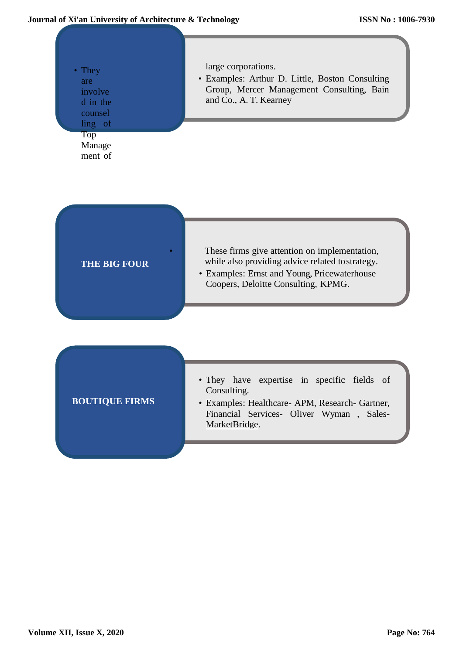#### **Journal of Xi'an University of Architecture & Technology**

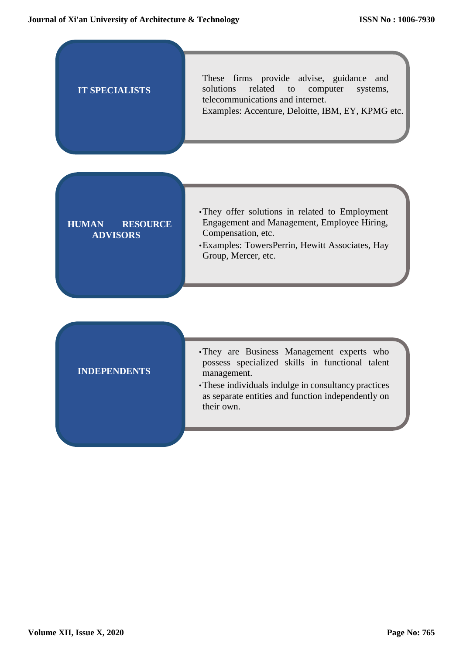| <b>IT SPECIALISTS</b>                              | These firms provide advise, guidance<br>and<br>related<br>solutions<br>to<br>computer<br>systems,<br>telecommunications and internet.<br>Examples: Accenture, Deloitte, IBM, EY, KPMG etc.                                              |  |  |  |  |
|----------------------------------------------------|-----------------------------------------------------------------------------------------------------------------------------------------------------------------------------------------------------------------------------------------|--|--|--|--|
| <b>HUMAN</b><br><b>RESOURCE</b><br><b>ADVISORS</b> | · They offer solutions in related to Employment<br>Engagement and Management, Employee Hiring,<br>Compensation, etc.<br>· Examples: TowersPerrin, Hewitt Associates, Hay<br>Group, Mercer, etc.                                         |  |  |  |  |
| <b>INDEPENDENTS</b>                                | •They are Business Management experts who<br>possess specialized skills in functional talent<br>management.<br>• These individuals indulge in consultancy practices<br>as separate entities and function independently on<br>their own. |  |  |  |  |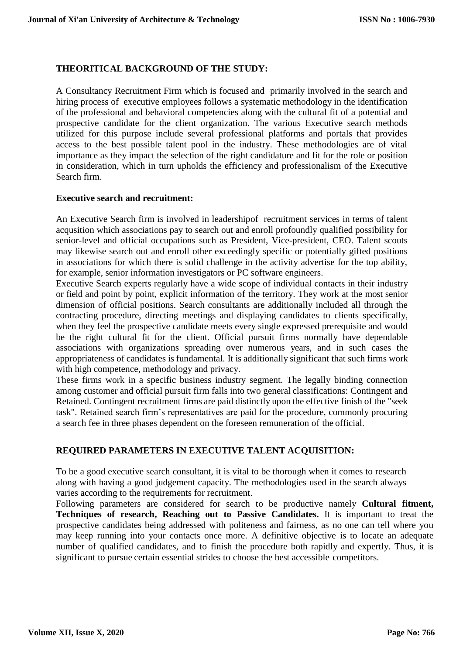#### **THEORITICAL BACKGROUND OF THE STUDY:**

A Consultancy Recruitment Firm which is focused and primarily involved in the search and hiring process of executive employees follows a systematic methodology in the identification of the professional and behavioral competencies along with the cultural fit of a potential and prospective candidate for the client organization. The various Executive search methods utilized for this purpose include several professional platforms and portals that provides access to the best possible talent pool in the industry. These methodologies are of vital importance as they impact the selection of the right candidature and fit for the role or position in consideration, which in turn upholds the efficiency and professionalism of the Executive Search firm.

#### **Executive search and recruitment:**

An Executive Search firm is involved in leadershipof recruitment services in terms of talent acqusition which associations pay to search out and enroll profoundly qualified possibility for senior-level and official occupations such as President, Vice-president, CEO. Talent scouts may likewise search out and enroll other exceedingly specific or potentially gifted positions in associations for which there is solid challenge in the activity advertise for the top ability, for example, senior information investigators or PC software engineers.

Executive Search experts regularly have a wide scope of individual contacts in their industry or field and point by point, explicit information of the territory. They work at the most senior dimension of official positions. Search consultants are additionally included all through the contracting procedure, directing meetings and displaying candidates to clients specifically, when they feel the prospective candidate meets every single expressed prerequisite and would be the right cultural fit for the client. Official pursuit firms normally have dependable associations with organizations spreading over numerous years, and in such cases the appropriateness of candidates is fundamental. It is additionally significant that such firms work with high competence, methodology and privacy.

These firms work in a specific business industry segment. The legally binding connection among customer and official pursuit firm falls into two general classifications: Contingent and Retained. Contingent recruitment firms are paid distinctly upon the effective finish of the "seek task". Retained search firm's representatives are paid for the procedure, commonly procuring a search fee in three phases dependent on the foreseen remuneration of the official.

### **REQUIRED PARAMETERS IN EXECUTIVE TALENT ACQUISITION:**

To be a good executive search consultant, it is vital to be thorough when it comes to research along with having a good judgement capacity. The methodologies used in the search always varies according to the requirements for recruitment.

Following parameters are considered for search to be productive namely **Cultural fitment, Techniques of research, Reaching out to Passive Candidates.** It is important to treat the prospective candidates being addressed with politeness and fairness, as no one can tell where you may keep running into your contacts once more. A definitive objective is to locate an adequate number of qualified candidates, and to finish the procedure both rapidly and expertly. Thus, it is significant to pursue certain essential strides to choose the best accessible competitors.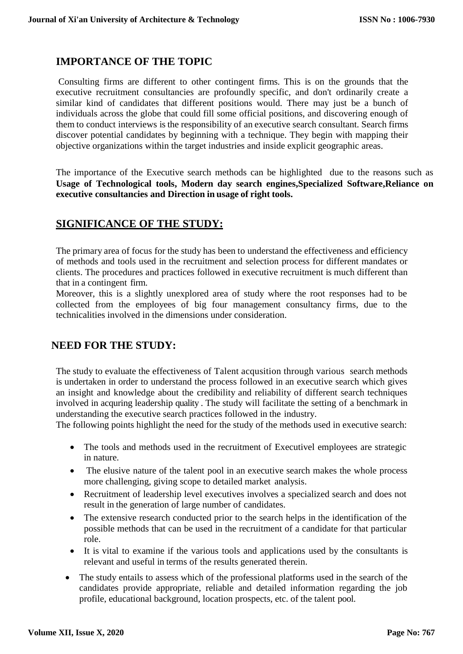## **IMPORTANCE OF THE TOPIC**

Consulting firms are different to other contingent firms. This is on the grounds that the executive recruitment consultancies are profoundly specific, and don't ordinarily create a similar kind of candidates that different positions would. There may just be a bunch of individuals across the globe that could fill some official positions, and discovering enough of them to conduct interviews is the responsibility of an executive search consultant. Search firms discover potential candidates by beginning with a technique. They begin with mapping their objective organizations within the target industries and inside explicit geographic areas.

The importance of the Executive search methods can be highlighted due to the reasons such as **Usage of Technological tools, Modern day search engines,Specialized Software,Reliance on executive consultancies and Direction in usage of right tools.**

### **SIGNIFICANCE OF THE STUDY:**

The primary area of focus for the study has been to understand the effectiveness and efficiency of methods and tools used in the recruitment and selection process for different mandates or clients. The procedures and practices followed in executive recruitment is much different than that in a contingent firm.

Moreover, this is a slightly unexplored area of study where the root responses had to be collected from the employees of big four management consultancy firms, due to the technicalities involved in the dimensions under consideration.

# **NEED FOR THE STUDY:**

The study to evaluate the effectiveness of Talent acqusition through various search methods is undertaken in order to understand the process followed in an executive search which gives an insight and knowledge about the credibility and reliability of different search techniques involved in acquring leadership quality . The study will facilitate the setting of a benchmark in understanding the executive search practices followed in the industry.

The following points highlight the need for the study of the methods used in executive search:

- The tools and methods used in the recruitment of Executivel employees are strategic in nature.
- The elusive nature of the talent pool in an executive search makes the whole process more challenging, giving scope to detailed market analysis.
- Recruitment of leadership level executives involves a specialized search and does not result in the generation of large number of candidates.
- The extensive research conducted prior to the search helps in the identification of the possible methods that can be used in the recruitment of a candidate for that particular role.
- It is vital to examine if the various tools and applications used by the consultants is relevant and useful in terms of the results generated therein.
- The study entails to assess which of the professional platforms used in the search of the candidates provide appropriate, reliable and detailed information regarding the job profile, educational background, location prospects, etc. of the talent pool.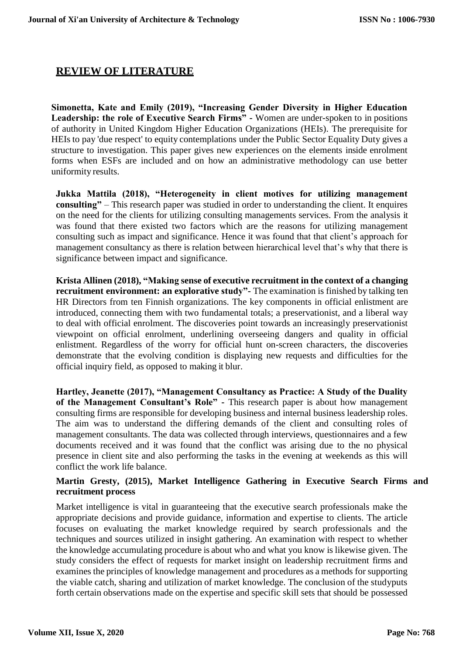## **REVIEW OF LITERATURE**

**Simonetta, Kate and Emily (2019), "Increasing Gender Diversity in Higher Education Leadership: the role of Executive Search Firms" -** Women are under-spoken to in positions of authority in United Kingdom Higher Education Organizations (HEIs). The prerequisite for HEIs to pay 'due respect' to equity contemplations under the Public Sector Equality Duty gives a structure to investigation. This paper gives new experiences on the elements inside enrolment forms when ESFs are included and on how an administrative methodology can use better uniformity results.

**Jukka Mattila (2018), "Heterogeneity in client motives for utilizing management consulting"** – This research paper was studied in order to understanding the client. It enquires on the need for the clients for utilizing consulting managements services. From the analysis it was found that there existed two factors which are the reasons for utilizing management consulting such as impact and significance. Hence it was found that that client's approach for management consultancy as there is relation between hierarchical level that's why that there is significance between impact and significance.

**Krista Allinen (2018), "Making sense of executive recruitment in the context of a changing recruitment environment: an explorative study"-** The examination is finished by talking ten HR Directors from ten Finnish organizations. The key components in official enlistment are introduced, connecting them with two fundamental totals; a preservationist, and a liberal way to deal with official enrolment. The discoveries point towards an increasingly preservationist viewpoint on official enrolment, underlining overseeing dangers and quality in official enlistment. Regardless of the worry for official hunt on-screen characters, the discoveries demonstrate that the evolving condition is displaying new requests and difficulties for the official inquiry field, as opposed to making it blur.

**Hartley, Jeanette (2017), "Management Consultancy as Practice: A Study of the Duality of the Management Consultant's Role" -** This research paper is about how management consulting firms are responsible for developing business and internal business leadership roles. The aim was to understand the differing demands of the client and consulting roles of management consultants. The data was collected through interviews, questionnaires and a few documents received and it was found that the conflict was arising due to the no physical presence in client site and also performing the tasks in the evening at weekends as this will conflict the work life balance.

### **Martin Gresty, (2015), Market Intelligence Gathering in Executive Search Firms and recruitment process**

Market intelligence is vital in guaranteeing that the executive search professionals make the appropriate decisions and provide guidance, information and expertise to clients. The article focuses on evaluating the market knowledge required by search professionals and the techniques and sources utilized in insight gathering. An examination with respect to whether the knowledge accumulating procedure is about who and what you know is likewise given. The study considers the effect of requests for market insight on leadership recruitment firms and examines the principles of knowledge management and procedures as a methods for supporting the viable catch, sharing and utilization of market knowledge. The conclusion of the studyputs forth certain observations made on the expertise and specific skill sets that should be possessed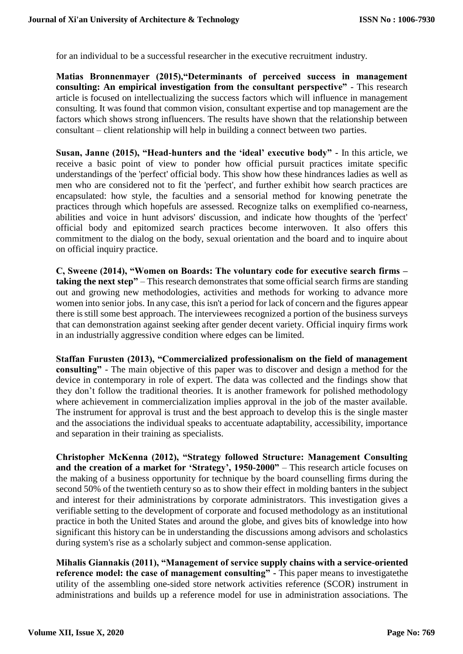for an individual to be a successful researcher in the executive recruitment industry.

**Matias Bronnenmayer (2015),"Determinants of perceived success in management consulting: An empirical investigation from the consultant perspective"** - This research article is focused on intellectualizing the success factors which will influence in management consulting. It was found that common vision, consultant expertise and top management are the factors which shows strong influencers. The results have shown that the relationship between consultant – client relationship will help in building a connect between two parties.

**Susan, Janne (2015), "Head-hunters and the 'ideal' executive body" -** In this article, we receive a basic point of view to ponder how official pursuit practices imitate specific understandings of the 'perfect' official body. This show how these hindrances ladies as well as men who are considered not to fit the 'perfect', and further exhibit how search practices are encapsulated: how style, the faculties and a sensorial method for knowing penetrate the practices through which hopefuls are assessed. Recognize talks on exemplified co-nearness, abilities and voice in hunt advisors' discussion, and indicate how thoughts of the 'perfect' official body and epitomized search practices become interwoven. It also offers this commitment to the dialog on the body, sexual orientation and the board and to inquire about on official inquiry practice.

**C, Sweene (2014), "Women on Boards: The voluntary code for executive search firms – taking the next step"** – This research demonstrates that some official search firms are standing out and growing new methodologies, activities and methods for working to advance more women into senior jobs. In any case, this isn't a period for lack of concern and the figures appear there isstill some best approach. The interviewees recognized a portion of the business surveys that can demonstration against seeking after gender decent variety. Official inquiry firms work in an industrially aggressive condition where edges can be limited.

**Staffan Furusten (2013), "Commercialized professionalism on the field of management consulting"** - The main objective of this paper was to discover and design a method for the device in contemporary in role of expert. The data was collected and the findings show that they don't follow the traditional theories. It is another framework for polished methodology where achievement in commercialization implies approval in the job of the master available. The instrument for approval is trust and the best approach to develop this is the single master and the associations the individual speaks to accentuate adaptability, accessibility, importance and separation in their training as specialists.

**Christopher McKenna (2012), "Strategy followed Structure: Management Consulting and the creation of a market for 'Strategy', 1950-2000"** – This research article focuses on the making of a business opportunity for technique by the board counselling firms during the second 50% of the twentieth century so as to show their effect in molding banters in the subject and interest for their administrations by corporate administrators. This investigation gives a verifiable setting to the development of corporate and focused methodology as an institutional practice in both the United States and around the globe, and gives bits of knowledge into how significant this history can be in understanding the discussions among advisors and scholastics during system's rise as a scholarly subject and common-sense application.

**Mihalis Giannakis (2011), "Management of service supply chains with a service-oriented reference model: the case of management consulting" -** This paper means to investigatethe utility of the assembling one-sided store network activities reference (SCOR) instrument in administrations and builds up a reference model for use in administration associations. The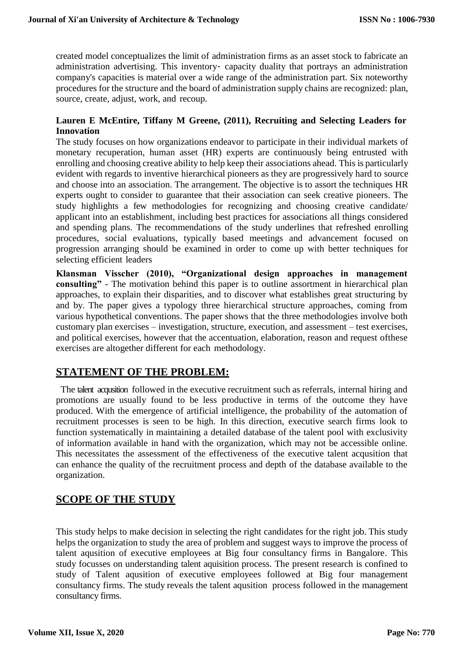created model conceptualizes the limit of administration firms as an asset stock to fabricate an administration advertising. This inventory‐ capacity duality that portrays an administration company's capacities is material over a wide range of the administration part. Six noteworthy procedures for the structure and the board of administration supply chains are recognized: plan, source, create, adjust, work, and recoup.

#### **Lauren E McEntire, Tiffany M Greene, (2011), Recruiting and Selecting Leaders for Innovation**

The study focuses on how organizations endeavor to participate in their individual markets of monetary recuperation, human asset (HR) experts are continuously being entrusted with enrolling and choosing creative ability to help keep their associations ahead. This is particularly evident with regards to inventive hierarchical pioneers as they are progressively hard to source and choose into an association. The arrangement. The objective is to assort the techniques HR experts ought to consider to guarantee that their association can seek creative pioneers. The study highlights a few methodologies for recognizing and choosing creative candidate/ applicant into an establishment, including best practices for associations all things considered and spending plans. The recommendations of the study underlines that refreshed enrolling procedures, social evaluations, typically based meetings and advancement focused on progression arranging should be examined in order to come up with better techniques for selecting efficient leaders

**Klansman Visscher (2010), "Organizational design approaches in management consulting"** - The motivation behind this paper is to outline assortment in hierarchical plan approaches, to explain their disparities, and to discover what establishes great structuring by and by. The paper gives a typology three hierarchical structure approaches, coming from various hypothetical conventions. The paper shows that the three methodologies involve both customary plan exercises – investigation, structure, execution, and assessment – test exercises, and political exercises, however that the accentuation, elaboration, reason and request ofthese exercises are altogether different for each methodology.

### **STATEMENT OF THE PROBLEM:**

The talent acqusition followed in the executive recruitment such as referrals, internal hiring and promotions are usually found to be less productive in terms of the outcome they have produced. With the emergence of artificial intelligence, the probability of the automation of recruitment processes is seen to be high. In this direction, executive search firms look to function systematically in maintaining a detailed database of the talent pool with exclusivity of information available in hand with the organization, which may not be accessible online. This necessitates the assessment of the effectiveness of the executive talent acqusition that can enhance the quality of the recruitment process and depth of the database available to the organization.

## **SCOPE OF THE STUDY**

This study helps to make decision in selecting the right candidates for the right job. This study helps the organization to study the area of problem and suggest ways to improve the process of talent aqusition of executive employees at Big four consultancy firms in Bangalore. This study focusses on understanding talent aquisition process. The present research is confined to study of Talent aqusition of executive employees followed at Big four management consultancy firms. The study reveals the talent aqusition process followed in the management consultancy firms.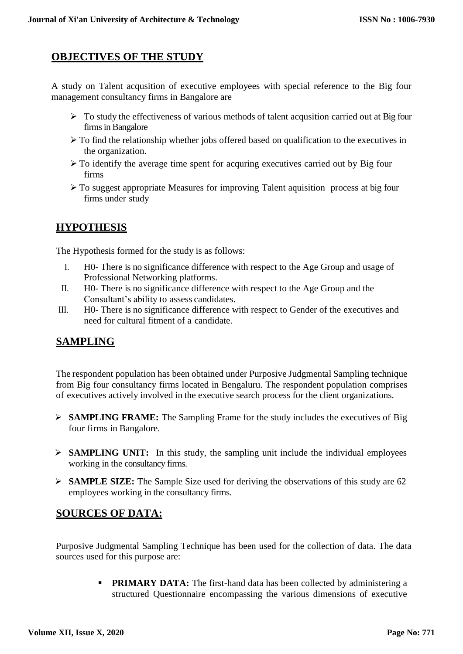## **OBJECTIVES OF THE STUDY**

A study on Talent acqusition of executive employees with special reference to the Big four management consultancy firms in Bangalore are

- $\triangleright$  To study the effectiveness of various methods of talent acqusition carried out at Big four firms in Bangalore
- $\triangleright$  To find the relationship whether jobs offered based on qualification to the executives in the organization.
- $\triangleright$  To identify the average time spent for acquring executives carried out by Big four firms
- To suggest appropriate Measures for improving Talent aquisition process at big four firms under study

## **HYPOTHESIS**

The Hypothesis formed for the study is as follows:

- I. H0- There is no significance difference with respect to the Age Group and usage of Professional Networking platforms.
- II. H0- There is no significance difference with respect to the Age Group and the Consultant's ability to assess candidates.
- III. H0- There is no significance difference with respect to Gender of the executives and need for cultural fitment of a candidate.

## **SAMPLING**

The respondent population has been obtained under Purposive Judgmental Sampling technique from Big four consultancy firms located in Bengaluru. The respondent population comprises of executives actively involved in the executive search process for the client organizations.

- **SAMPLING FRAME:** The Sampling Frame for the study includes the executives of Big four firms in Bangalore.
- **SAMPLING UNIT:** In this study, the sampling unit include the individual employees working in the consultancy firms.
- **SAMPLE SIZE:** The Sample Size used for deriving the observations of this study are 62 employees working in the consultancy firms.

## **SOURCES OF DATA:**

Purposive Judgmental Sampling Technique has been used for the collection of data. The data sources used for this purpose are:

> **PRIMARY DATA:** The first-hand data has been collected by administering a structured Questionnaire encompassing the various dimensions of executive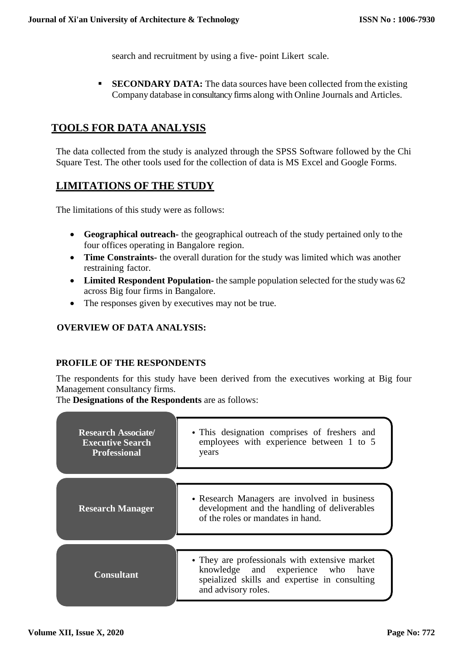search and recruitment by using a five- point Likert scale.

 **SECONDARY DATA:** The data sources have been collected from the existing Company database in consultancy firms along with Online Journals and Articles.

## **TOOLS FOR DATA ANALYSIS**

The data collected from the study is analyzed through the SPSS Software followed by the Chi Square Test. The other tools used for the collection of data is MS Excel and Google Forms.

## **LIMITATIONS OF THE STUDY**

The limitations of this study were as follows:

- **Geographical outreach-** the geographical outreach of the study pertained only to the four offices operating in Bangalore region.
- **Time Constraints-** the overall duration for the study was limited which was another restraining factor.
- **Limited Respondent Population-** the sample population selected for the study was 62 across Big four firms in Bangalore.
- The responses given by executives may not be true.

### **OVERVIEW OF DATA ANALYSIS:**

### **PROFILE OF THE RESPONDENTS**

The respondents for this study have been derived from the executives working at Big four Management consultancy firms.

The **Designations of the Respondents** are as follows:

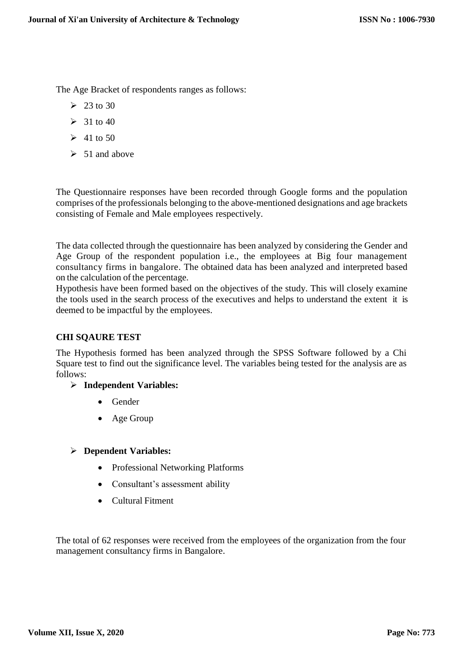The Age Bracket of respondents ranges as follows:

- $\geq 23$  to 30
- $\geq$  31 to 40
- $\geq 41$  to 50
- $\geq 51$  and above

The Questionnaire responses have been recorded through Google forms and the population comprises of the professionals belonging to the above-mentioned designations and age brackets consisting of Female and Male employees respectively.

The data collected through the questionnaire has been analyzed by considering the Gender and Age Group of the respondent population i.e., the employees at Big four management consultancy firms in bangalore. The obtained data has been analyzed and interpreted based on the calculation of the percentage.

Hypothesis have been formed based on the objectives of the study. This will closely examine the tools used in the search process of the executives and helps to understand the extent it is deemed to be impactful by the employees.

### **CHI SQAURE TEST**

The Hypothesis formed has been analyzed through the SPSS Software followed by a Chi Square test to find out the significance level. The variables being tested for the analysis are as follows:

### **Independent Variables:**

- Gender
- Age Group

### **Dependent Variables:**

- Professional Networking Platforms
- Consultant's assessment ability
- Cultural Fitment

The total of 62 responses were received from the employees of the organization from the four management consultancy firms in Bangalore.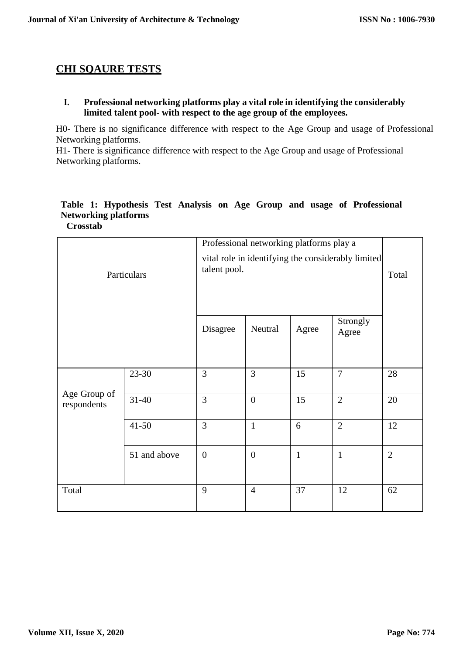### **CHI SQAURE TESTS**

**I. Professional networking platforms play a vital role in identifying the considerably limited talent pool- with respect to the age group of the employees.**

H0- There is no significance difference with respect to the Age Group and usage of Professional Networking platforms.

H1- There is significance difference with respect to the Age Group and usage of Professional Networking platforms.

#### **Table 1: Hypothesis Test Analysis on Age Group and usage of Professional Networking platforms Crosstab**

|                             |                                                                    |                  | Professional networking platforms play a |              |                   |                |
|-----------------------------|--------------------------------------------------------------------|------------------|------------------------------------------|--------------|-------------------|----------------|
| Particulars                 | vital role in identifying the considerably limited<br>talent pool. |                  |                                          |              | Total             |                |
|                             |                                                                    | Disagree         | Neutral                                  | Agree        | Strongly<br>Agree |                |
|                             | 23-30                                                              | 3                | 3                                        | 15           | $\overline{7}$    | 28             |
| Age Group of<br>respondents | $31 - 40$                                                          | 3                | $\boldsymbol{0}$                         | 15           | $\overline{2}$    | 20             |
|                             | $41 - 50$                                                          | 3                | $\mathbf{1}$                             | 6            | $\overline{2}$    | 12             |
|                             | 51 and above                                                       | $\boldsymbol{0}$ | $\boldsymbol{0}$                         | $\mathbf{1}$ | $\mathbf{1}$      | $\overline{2}$ |
| Total                       |                                                                    | 9                | $\overline{4}$                           | 37           | 12                | 62             |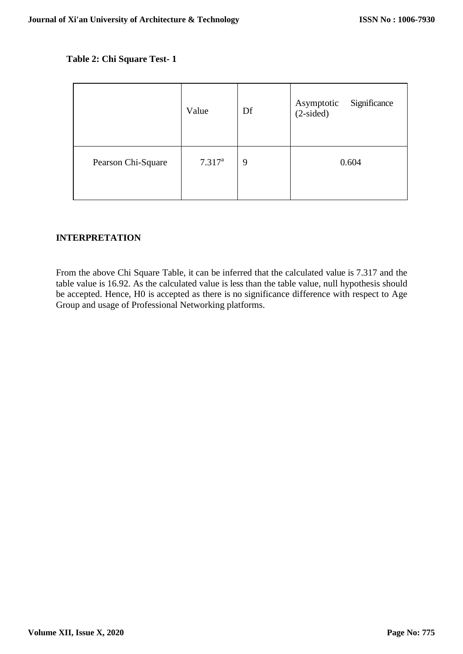#### **Table 2: Chi Square Test- 1**

|                    | Value       | Df | Asymptotic<br>Significance<br>$(2-sided)$ |
|--------------------|-------------|----|-------------------------------------------|
| Pearson Chi-Square | $7.317^{a}$ | 9  | 0.604                                     |

#### **INTERPRETATION**

From the above Chi Square Table, it can be inferred that the calculated value is 7.317 and the table value is 16.92. As the calculated value is less than the table value, null hypothesis should be accepted. Hence, H0 is accepted as there is no significance difference with respect to Age Group and usage of Professional Networking platforms.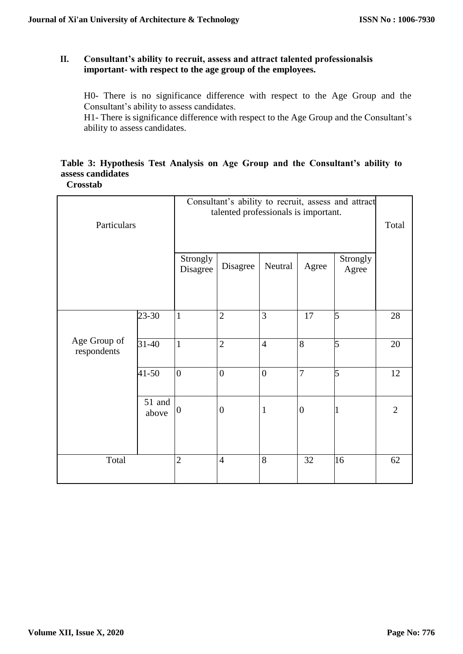#### **II. Consultant's ability to recruit, assess and attract talented professionalsis important- with respect to the age group of the employees.**

H0- There is no significance difference with respect to the Age Group and the Consultant's ability to assess candidates.

H1- There is significance difference with respect to the Age Group and the Consultant's ability to assess candidates.

# **Table 3: Hypothesis Test Analysis on Age Group and the Consultant's ability to assess candidates**

**Crosstab**

|                             |                 | Consultant's ability to recruit, assess and attract<br>talented professionals is important. |                  |                |                  |                   |                |
|-----------------------------|-----------------|---------------------------------------------------------------------------------------------|------------------|----------------|------------------|-------------------|----------------|
| Particulars                 |                 |                                                                                             |                  |                |                  | Total             |                |
|                             |                 | Strongly<br>Disagree                                                                        | Disagree         | Neutral        | Agree            | Strongly<br>Agree |                |
|                             | 23-30           | $\mathbf{1}$                                                                                | $\overline{2}$   | 3              | 17               | 5                 | 28             |
| Age Group of<br>respondents | $31 - 40$       | $\mathbf{1}$                                                                                | $\overline{2}$   | $\overline{4}$ | 8                | 5                 | 20             |
|                             | $41 - 50$       | $\overline{0}$                                                                              | $\overline{0}$   | $\overline{0}$ | $\overline{7}$   | 5                 | 12             |
|                             | 51 and<br>above | $\boldsymbol{0}$                                                                            | $\boldsymbol{0}$ | $\mathbf{1}$   | $\boldsymbol{0}$ |                   | $\overline{2}$ |
| Total                       |                 | $\overline{2}$                                                                              | $\overline{4}$   | 8              | 32               | 16                | 62             |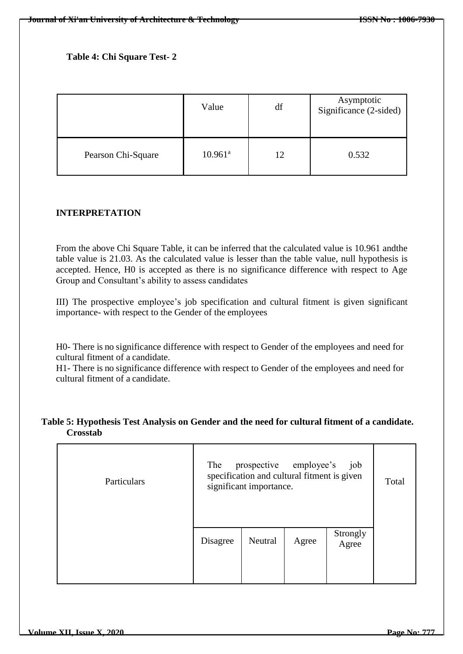### **Table 4: Chi Square Test- 2**

|                    | Value               | df | Asymptotic<br>Significance (2-sided) |
|--------------------|---------------------|----|--------------------------------------|
| Pearson Chi-Square | $10.961^{\text{a}}$ | 12 | 0.532                                |

#### **INTERPRETATION**

From the above Chi Square Table, it can be inferred that the calculated value is 10.961 andthe table value is 21.03. As the calculated value is lesser than the table value, null hypothesis is accepted. Hence, H0 is accepted as there is no significance difference with respect to Age Group and Consultant's ability to assess candidates

III) The prospective employee's job specification and cultural fitment is given significant importance- with respect to the Gender of the employees

H0- There is no significance difference with respect to Gender of the employees and need for cultural fitment of a candidate.

H1- There is no significance difference with respect to Gender of the employees and need for cultural fitment of a candidate.

#### **Table 5: Hypothesis Test Analysis on Gender and the need for cultural fitment of a candidate. Crosstab**

| Particulars | prospective employee's<br>The<br>specification and cultural fitment is given<br>significant importance. | Total   |       |                   |  |
|-------------|---------------------------------------------------------------------------------------------------------|---------|-------|-------------------|--|
|             | Disagree                                                                                                | Neutral | Agree | Strongly<br>Agree |  |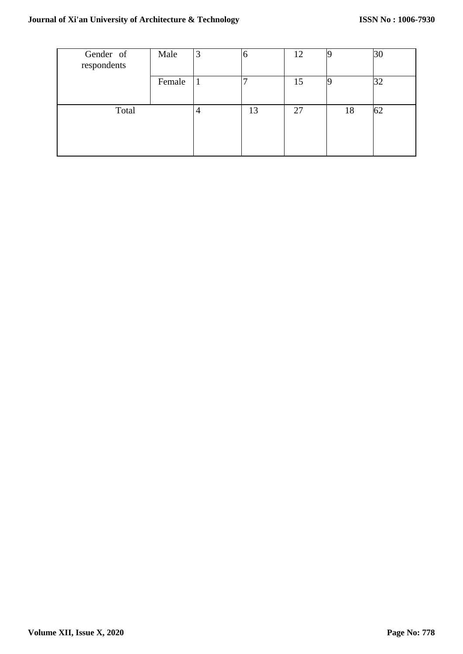| Gender of<br>respondents | Male   | 3  | 6  | 12 |    | 30 |
|--------------------------|--------|----|----|----|----|----|
|                          | Female | -1 |    | 15 |    | 32 |
| Total                    |        | 4  | 13 | 27 | 18 | 62 |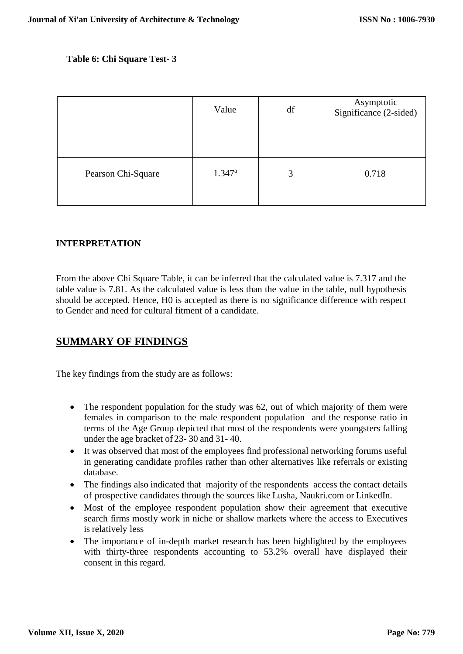#### **Table 6: Chi Square Test- 3**

|                    | Value           | df | Asymptotic<br>Significance (2-sided) |
|--------------------|-----------------|----|--------------------------------------|
| Pearson Chi-Square | $1.347^{\rm a}$ | 3  | 0.718                                |

#### **INTERPRETATION**

From the above Chi Square Table, it can be inferred that the calculated value is 7.317 and the table value is 7.81. As the calculated value is less than the value in the table, null hypothesis should be accepted. Hence, H0 is accepted as there is no significance difference with respect to Gender and need for cultural fitment of a candidate.

### **SUMMARY OF FINDINGS**

The key findings from the study are as follows:

- The respondent population for the study was 62, out of which majority of them were females in comparison to the male respondent population and the response ratio in terms of the Age Group depicted that most of the respondents were youngsters falling under the age bracket of 23- 30 and 31- 40.
- It was observed that most of the employees find professional networking forums useful in generating candidate profiles rather than other alternatives like referrals or existing database.
- The findings also indicated that majority of the respondents access the contact details of prospective candidates through the sources like Lusha, Naukri.com or LinkedIn.
- Most of the employee respondent population show their agreement that executive search firms mostly work in niche or shallow markets where the access to Executives is relatively less
- The importance of in-depth market research has been highlighted by the employees with thirty-three respondents accounting to 53.2% overall have displayed their consent in this regard.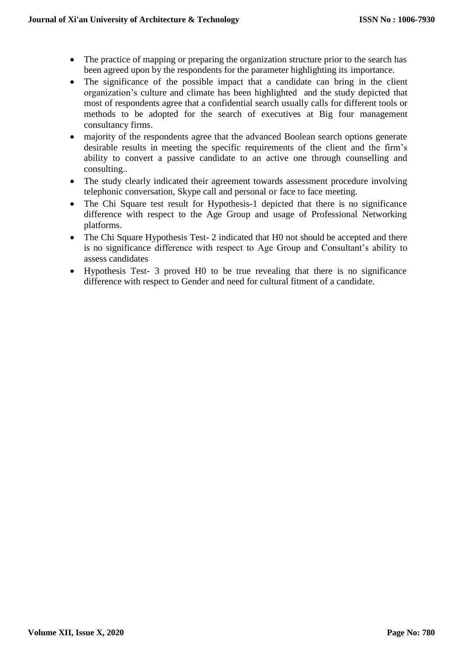- The practice of mapping or preparing the organization structure prior to the search has been agreed upon by the respondents for the parameter highlighting its importance.
- The significance of the possible impact that a candidate can bring in the client organization's culture and climate has been highlighted and the study depicted that most of respondents agree that a confidential search usually calls for different tools or methods to be adopted for the search of executives at Big four management consultancy firms.
- majority of the respondents agree that the advanced Boolean search options generate desirable results in meeting the specific requirements of the client and the firm's ability to convert a passive candidate to an active one through counselling and consulting..
- The study clearly indicated their agreement towards assessment procedure involving telephonic conversation, Skype call and personal or face to face meeting.
- The Chi Square test result for Hypothesis-1 depicted that there is no significance difference with respect to the Age Group and usage of Professional Networking platforms.
- The Chi Square Hypothesis Test- 2 indicated that H0 not should be accepted and there is no significance difference with respect to Age Group and Consultant's ability to assess candidates
- Hypothesis Test- 3 proved H0 to be true revealing that there is no significance difference with respect to Gender and need for cultural fitment of a candidate.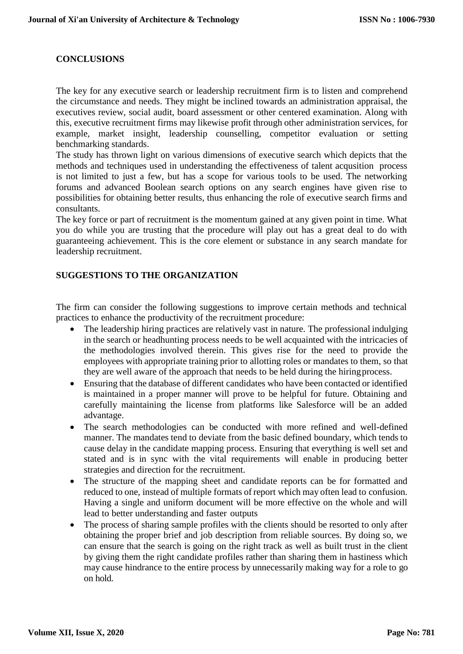#### **CONCLUSIONS**

The key for any executive search or leadership recruitment firm is to listen and comprehend the circumstance and needs. They might be inclined towards an administration appraisal, the executives review, social audit, board assessment or other centered examination. Along with this, executive recruitment firms may likewise profit through other administration services, for example, market insight, leadership counselling, competitor evaluation or setting benchmarking standards.

The study has thrown light on various dimensions of executive search which depicts that the methods and techniques used in understanding the effectiveness of talent acqusition process is not limited to just a few, but has a scope for various tools to be used. The networking forums and advanced Boolean search options on any search engines have given rise to possibilities for obtaining better results, thus enhancing the role of executive search firms and consultants.

The key force or part of recruitment is the momentum gained at any given point in time. What you do while you are trusting that the procedure will play out has a great deal to do with guaranteeing achievement. This is the core element or substance in any search mandate for leadership recruitment.

#### **SUGGESTIONS TO THE ORGANIZATION**

The firm can consider the following suggestions to improve certain methods and technical practices to enhance the productivity of the recruitment procedure:

- The leadership hiring practices are relatively vast in nature. The professional indulging in the search or headhunting process needs to be well acquainted with the intricacies of the methodologies involved therein. This gives rise for the need to provide the employees with appropriate training prior to allotting roles or mandates to them, so that they are well aware of the approach that needs to be held during the hiringprocess.
- Ensuring that the database of different candidates who have been contacted or identified is maintained in a proper manner will prove to be helpful for future. Obtaining and carefully maintaining the license from platforms like Salesforce will be an added advantage.
- The search methodologies can be conducted with more refined and well-defined manner. The mandates tend to deviate from the basic defined boundary, which tends to cause delay in the candidate mapping process. Ensuring that everything is well set and stated and is in sync with the vital requirements will enable in producing better strategies and direction for the recruitment.
- The structure of the mapping sheet and candidate reports can be for formatted and reduced to one, instead of multiple formats of report which may often lead to confusion. Having a single and uniform document will be more effective on the whole and will lead to better understanding and faster outputs
- The process of sharing sample profiles with the clients should be resorted to only after obtaining the proper brief and job description from reliable sources. By doing so, we can ensure that the search is going on the right track as well as built trust in the client by giving them the right candidate profiles rather than sharing them in hastiness which may cause hindrance to the entire process by unnecessarily making way for a role to go on hold.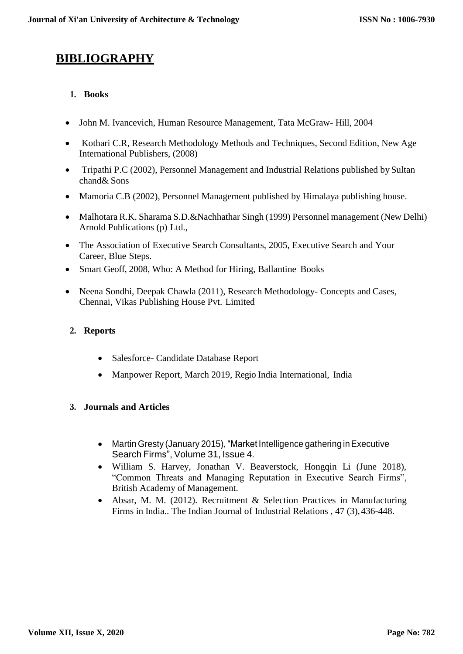# **BIBLIOGRAPHY**

### **1. Books**

- John M. Ivancevich, Human Resource Management, Tata McGraw- Hill, 2004
- Kothari C.R, Research Methodology Methods and Techniques, Second Edition, New Age International Publishers, (2008)
- Tripathi P.C (2002), Personnel Management and Industrial Relations published by Sultan chand& Sons
- Mamoria C.B (2002), Personnel Management published by Himalaya publishing house.
- Malhotara R.K. Sharama S.D.&Nachhathar Singh (1999) Personnel management (New Delhi) Arnold Publications (p) Ltd.,
- The Association of Executive Search Consultants, 2005, Executive Search and Your Career, Blue Steps.
- Smart Geoff, 2008, Who: A Method for Hiring, Ballantine Books
- Neena Sondhi, Deepak Chawla (2011), Research Methodology- Concepts and Cases, Chennai, Vikas Publishing House Pvt. Limited

### **2. Reports**

- Salesforce- Candidate Database Report
- Manpower Report, March 2019, Regio India International, India

#### **3. Journals and Articles**

- Martin Gresty (January 2015), "Market Intelligence gathering in Executive Search Firms", Volume 31, Issue 4.
- William S. Harvey, Jonathan V. Beaverstock, Hongqin Li (June 2018), "Common Threats and Managing Reputation in Executive Search Firms", British Academy of Management.
- Absar, M. M. (2012). Recruitment & Selection Practices in Manufacturing Firms in India.. The Indian Journal of Industrial Relations , 47 (3),436-448.